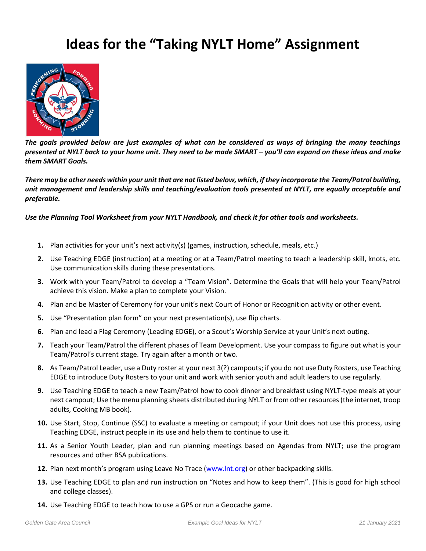## **Ideas for the "Taking NYLT Home" Assignment**



*The goals provided below are just examples of what can be considered as ways of bringing the many teachings presented at NYLT back to your home unit. They need to be made SMART – you'll can expand on these ideas and make them SMART Goals.*

*There may be other needs within your unit that are not listed below, which, if they incorporate the Team/Patrol building,*  unit management and leadership skills and teaching/evaluation tools presented at NYLT, are equally acceptable and *preferable.* 

*Use the Planning Tool Worksheet from your NYLT Handbook, and check it for other tools and worksheets.* 

- **1.** Plan activities for your unit's next activity(s) (games, instruction, schedule, meals, etc.)
- **2.** Use Teaching EDGE (instruction) at a meeting or at a Team/Patrol meeting to teach a leadership skill, knots, etc. Use communication skills during these presentations.
- **3.** Work with your Team/Patrol to develop a "Team Vision". Determine the Goals that will help your Team/Patrol achieve this vision. Make a plan to complete your Vision.
- **4.** Plan and be Master of Ceremony for your unit's next Court of Honor or Recognition activity or other event.
- **5.** Use "Presentation plan form" on your next presentation(s), use flip charts.
- **6.** Plan and lead a Flag Ceremony (Leading EDGE), or a Scout's Worship Service at your Unit's next outing.
- **7.** Teach your Team/Patrol the different phases of Team Development. Use your compass to figure out what is your Team/Patrol's current stage. Try again after a month or two.
- **8.** As Team/Patrol Leader, use a Duty roster at your next 3(?) campouts; if you do not use Duty Rosters, use Teaching EDGE to introduce Duty Rosters to your unit and work with senior youth and adult leaders to use regularly.
- **9.** Use Teaching EDGE to teach a new Team/Patrol how to cook dinner and breakfast using NYLT-type meals at your next campout; Use the menu planning sheets distributed during NYLT or from other resources (the internet, troop adults, Cooking MB book).
- **10.** Use Start, Stop, Continue (SSC) to evaluate a meeting or campout; if your Unit does not use this process, using Teaching EDGE, instruct people in its use and help them to continue to use it.
- **11.** As a Senior Youth Leader, plan and run planning meetings based on Agendas from NYLT; use the program resources and other BSA publications.
- **12.** Plan next month's program using Leave No Trace (www.lnt.org) or other backpacking skills.
- **13.** Use Teaching EDGE to plan and run instruction on "Notes and how to keep them". (This is good for high school and college classes).
- **14.** Use Teaching EDGE to teach how to use a GPS or run a Geocache game.